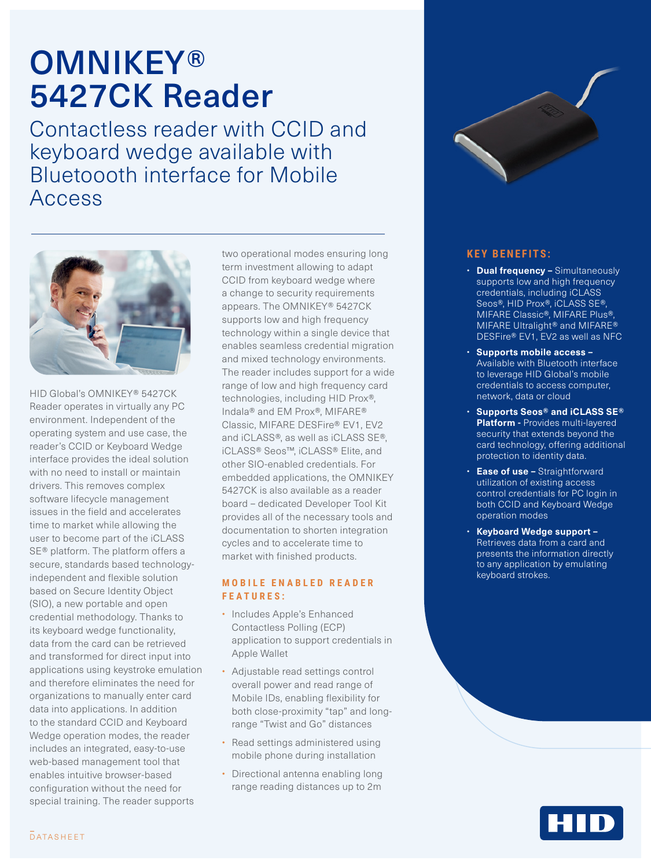# **OMNIKEY®** 5427CK Reader

Contactless reader with CCID and keyboard wedge available with Bluetoooth interface for Mobile Access



HID Global's OMNIKEY® 5427CK Reader operates in virtually any PC environment. Independent of the operating system and use case, the reader's CCID or Keyboard Wedge interface provides the ideal solution with no need to install or maintain drivers. This removes complex software lifecycle management issues in the field and accelerates time to market while allowing the user to become part of the iCLASS SE® platform. The platform offers a secure, standards based technologyindependent and flexible solution based on Secure Identity Object (SIO), a new portable and open credential methodology. Thanks to its keyboard wedge functionality, data from the card can be retrieved and transformed for direct input into applications using keystroke emulation and therefore eliminates the need for organizations to manually enter card data into applications. In addition to the standard CCID and Keyboard Wedge operation modes, the reader includes an integrated, easy-to-use web-based management tool that enables intuitive browser-based configuration without the need for special training. The reader supports

two operational modes ensuring long term investment allowing to adapt CCID from keyboard wedge where a change to security requirements appears. The OMNIKEY® 5427CK supports low and high frequency technology within a single device that enables seamless credential migration and mixed technology environments. The reader includes support for a wide range of low and high frequency card technologies, including HID Prox®, Indala® and EM Prox®, MIFARE® Classic, MIFARE DESFire® EV1, EV2 and iCLASS®, as well as iCLASS SE®, iCLASS® Seos™, iCLASS® Elite, and other SIO-enabled credentials. For embedded applications, the OMNIKEY 5427CK is also available as a reader board – dedicated Developer Tool Kit provides all of the necessary tools and documentation to shorten integration cycles and to accelerate time to market with finished products.

# **M O B I L E E N A B L E D R E A D E R FEATURES:**

- Includes Apple's Enhanced Contactless Polling (ECP) application to support credentials in Apple Wallet
- Adjustable read settings control overall power and read range of Mobile IDs, enabling flexibility for both close-proximity "tap" and longrange "Twist and Go" distances
- Read settings administered using mobile phone during installation
- Directional antenna enabling long range reading distances up to 2m



# **KEY BENEFITS:**

- **Dual frequency –** Simultaneously supports low and high frequency credentials, including iCLASS Seos®, HID Prox®, iCLASS SE®, MIFARE Classic®, MIFARE Plus®, MIFARE Ultralight® and MIFARE® DESFire® EV1, EV2 as well as NFC
- **Supports mobile access**  Available with Bluetooth interface to leverage HID Global's mobile credentials to access computer, network, data or cloud
- **Supports Seos® and iCLASS SE® Platform -** Provides multi-layered security that extends beyond the card technology, offering additional protection to identity data.
- **Ease of use** Straightforward utilization of existing access control credentials for PC login in both CCID and Keyboard Wedge operation modes
- **Keyboard Wedge support –** Retrieves data from a card and presents the information directly to any application by emulating keyboard strokes.